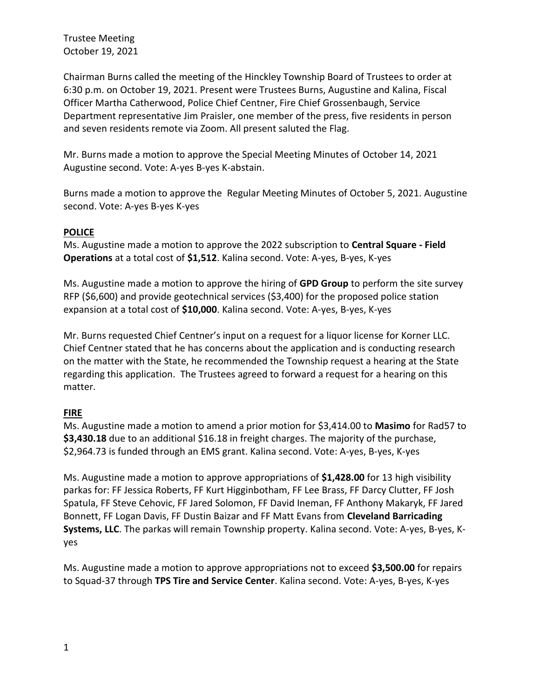Chairman Burns called the meeting of the Hinckley Township Board of Trustees to order at 6:30 p.m. on October 19, 2021. Present were Trustees Burns, Augustine and Kalina, Fiscal Officer Martha Catherwood, Police Chief Centner, Fire Chief Grossenbaugh, Service Department representative Jim Praisler, one member of the press, five residents in person and seven residents remote via Zoom. All present saluted the Flag.

Mr. Burns made a motion to approve the Special Meeting Minutes of October 14, 2021 Augustine second. Vote: A-yes B-yes K-abstain.

Burns made a motion to approve the Regular Meeting Minutes of October 5, 2021. Augustine second. Vote: A-yes B-yes K-yes

# **POLICE**

Ms. Augustine made a motion to approve the 2022 subscription to **Central Square - Field Operations** at a total cost of **\$1,512**. Kalina second. Vote: A-yes, B-yes, K-yes

Ms. Augustine made a motion to approve the hiring of **GPD Group** to perform the site survey RFP (\$6,600) and provide geotechnical services (\$3,400) for the proposed police station expansion at a total cost of **\$10,000**. Kalina second. Vote: A-yes, B-yes, K-yes

Mr. Burns requested Chief Centner's input on a request for a liquor license for Korner LLC. Chief Centner stated that he has concerns about the application and is conducting research on the matter with the State, he recommended the Township request a hearing at the State regarding this application. The Trustees agreed to forward a request for a hearing on this matter.

# **FIRE**

Ms. Augustine made a motion to amend a prior motion for \$3,414.00 to **Masimo** for Rad57 to **\$3,430.18** due to an additional \$16.18 in freight charges. The majority of the purchase, \$2,964.73 is funded through an EMS grant. Kalina second. Vote: A-yes, B-yes, K-yes

Ms. Augustine made a motion to approve appropriations of **\$1,428.00** for 13 high visibility parkas for: FF Jessica Roberts, FF Kurt Higginbotham, FF Lee Brass, FF Darcy Clutter, FF Josh Spatula, FF Steve Cehovic, FF Jared Solomon, FF David Ineman, FF Anthony Makaryk, FF Jared Bonnett, FF Logan Davis, FF Dustin Baizar and FF Matt Evans from **Cleveland Barricading Systems, LLC**. The parkas will remain Township property. Kalina second. Vote: A-yes, B-yes, Kyes

Ms. Augustine made a motion to approve appropriations not to exceed **\$3,500.00** for repairs to Squad-37 through **TPS Tire and Service Center**. Kalina second. Vote: A-yes, B-yes, K-yes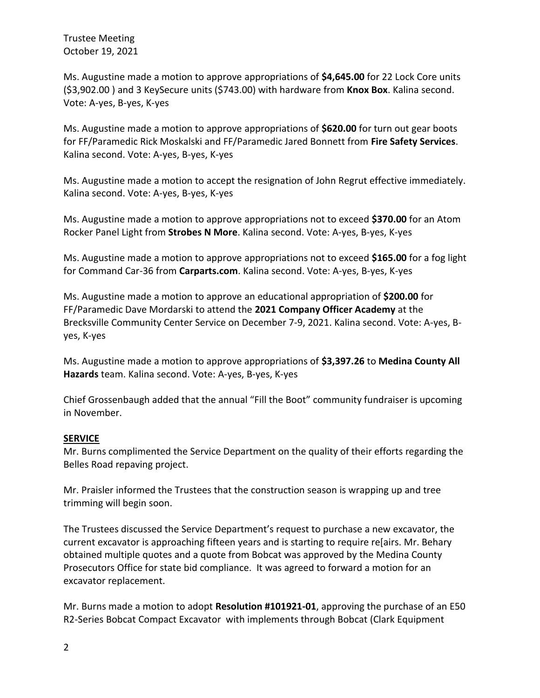Ms. Augustine made a motion to approve appropriations of **\$4,645.00** for 22 Lock Core units (\$3,902.00 ) and 3 KeySecure units (\$743.00) with hardware from **Knox Box**. Kalina second. Vote: A-yes, B-yes, K-yes

Ms. Augustine made a motion to approve appropriations of **\$620.00** for turn out gear boots for FF/Paramedic Rick Moskalski and FF/Paramedic Jared Bonnett from **Fire Safety Services**. Kalina second. Vote: A-yes, B-yes, K-yes

Ms. Augustine made a motion to accept the resignation of John Regrut effective immediately. Kalina second. Vote: A-yes, B-yes, K-yes

Ms. Augustine made a motion to approve appropriations not to exceed **\$370.00** for an Atom Rocker Panel Light from **Strobes N More**. Kalina second. Vote: A-yes, B-yes, K-yes

Ms. Augustine made a motion to approve appropriations not to exceed **\$165.00** for a fog light for Command Car-36 from **Carparts.com**. Kalina second. Vote: A-yes, B-yes, K-yes

Ms. Augustine made a motion to approve an educational appropriation of **\$200.00** for FF/Paramedic Dave Mordarski to attend the **2021 Company Officer Academy** at the Brecksville Community Center Service on December 7-9, 2021. Kalina second. Vote: A-yes, Byes, K-yes

Ms. Augustine made a motion to approve appropriations of **\$3,397.26** to **Medina County All Hazards** team. Kalina second. Vote: A-yes, B-yes, K-yes

Chief Grossenbaugh added that the annual "Fill the Boot" community fundraiser is upcoming in November.

# **SERVICE**

Mr. Burns complimented the Service Department on the quality of their efforts regarding the Belles Road repaving project.

Mr. Praisler informed the Trustees that the construction season is wrapping up and tree trimming will begin soon.

The Trustees discussed the Service Department's request to purchase a new excavator, the current excavator is approaching fifteen years and is starting to require re[airs. Mr. Behary obtained multiple quotes and a quote from Bobcat was approved by the Medina County Prosecutors Office for state bid compliance. It was agreed to forward a motion for an excavator replacement.

Mr. Burns made a motion to adopt **Resolution #101921-01**, approving the purchase of an E50 R2-Series Bobcat Compact Excavator with implements through Bobcat (Clark Equipment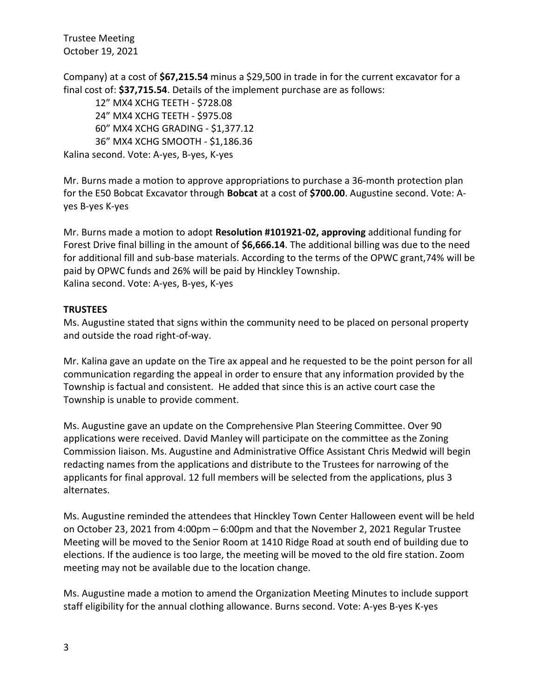Company) at a cost of **\$67,215.54** minus a \$29,500 in trade in for the current excavator for a final cost of: **\$37,715.54**. Details of the implement purchase are as follows:

12" MX4 XCHG TEETH - \$728.08 24" MX4 XCHG TEETH - \$975.08 60" MX4 XCHG GRADING - \$1,377.12 36" MX4 XCHG SMOOTH - \$1,186.36 Kalina second. Vote: A-yes, B-yes, K-yes

Mr. Burns made a motion to approve appropriations to purchase a 36-month protection plan for the E50 Bobcat Excavator through **Bobcat** at a cost of **\$700.00**. Augustine second. Vote: Ayes B-yes K-yes

Mr. Burns made a motion to adopt **Resolution #101921-02, approving** additional funding for Forest Drive final billing in the amount of **\$6,666.14**. The additional billing was due to the need for additional fill and sub-base materials. According to the terms of the OPWC grant,74% will be paid by OPWC funds and 26% will be paid by Hinckley Township. Kalina second. Vote: A-yes, B-yes, K-yes

### **TRUSTEES**

Ms. Augustine stated that signs within the community need to be placed on personal property and outside the road right-of-way.

Mr. Kalina gave an update on the Tire ax appeal and he requested to be the point person for all communication regarding the appeal in order to ensure that any information provided by the Township is factual and consistent. He added that since this is an active court case the Township is unable to provide comment.

Ms. Augustine gave an update on the Comprehensive Plan Steering Committee. Over 90 applications were received. David Manley will participate on the committee as the Zoning Commission liaison. Ms. Augustine and Administrative Office Assistant Chris Medwid will begin redacting names from the applications and distribute to the Trustees for narrowing of the applicants for final approval. 12 full members will be selected from the applications, plus 3 alternates.

Ms. Augustine reminded the attendees that Hinckley Town Center Halloween event will be held on October 23, 2021 from 4:00pm – 6:00pm and that the November 2, 2021 Regular Trustee Meeting will be moved to the Senior Room at 1410 Ridge Road at south end of building due to elections. If the audience is too large, the meeting will be moved to the old fire station. Zoom meeting may not be available due to the location change.

Ms. Augustine made a motion to amend the Organization Meeting Minutes to include support staff eligibility for the annual clothing allowance. Burns second. Vote: A-yes B-yes K-yes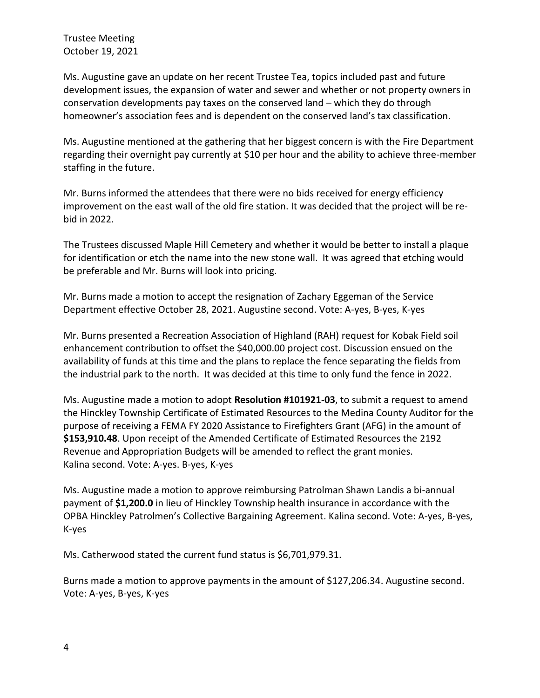Ms. Augustine gave an update on her recent Trustee Tea, topics included past and future development issues, the expansion of water and sewer and whether or not property owners in conservation developments pay taxes on the conserved land – which they do through homeowner's association fees and is dependent on the conserved land's tax classification.

Ms. Augustine mentioned at the gathering that her biggest concern is with the Fire Department regarding their overnight pay currently at \$10 per hour and the ability to achieve three-member staffing in the future.

Mr. Burns informed the attendees that there were no bids received for energy efficiency improvement on the east wall of the old fire station. It was decided that the project will be rebid in 2022.

The Trustees discussed Maple Hill Cemetery and whether it would be better to install a plaque for identification or etch the name into the new stone wall. It was agreed that etching would be preferable and Mr. Burns will look into pricing.

Mr. Burns made a motion to accept the resignation of Zachary Eggeman of the Service Department effective October 28, 2021. Augustine second. Vote: A-yes, B-yes, K-yes

Mr. Burns presented a Recreation Association of Highland (RAH) request for Kobak Field soil enhancement contribution to offset the \$40,000.00 project cost. Discussion ensued on the availability of funds at this time and the plans to replace the fence separating the fields from the industrial park to the north. It was decided at this time to only fund the fence in 2022.

Ms. Augustine made a motion to adopt **Resolution #101921-03**, to submit a request to amend the Hinckley Township Certificate of Estimated Resources to the Medina County Auditor for the purpose of receiving a FEMA FY 2020 Assistance to Firefighters Grant (AFG) in the amount of **\$153,910.48**. Upon receipt of the Amended Certificate of Estimated Resources the 2192 Revenue and Appropriation Budgets will be amended to reflect the grant monies. Kalina second. Vote: A-yes. B-yes, K-yes

Ms. Augustine made a motion to approve reimbursing Patrolman Shawn Landis a bi-annual payment of **\$1,200.0** in lieu of Hinckley Township health insurance in accordance with the OPBA Hinckley Patrolmen's Collective Bargaining Agreement. Kalina second. Vote: A-yes, B-yes, K-yes

Ms. Catherwood stated the current fund status is \$6,701,979.31.

Burns made a motion to approve payments in the amount of \$127,206.34. Augustine second. Vote: A-yes, B-yes, K-yes